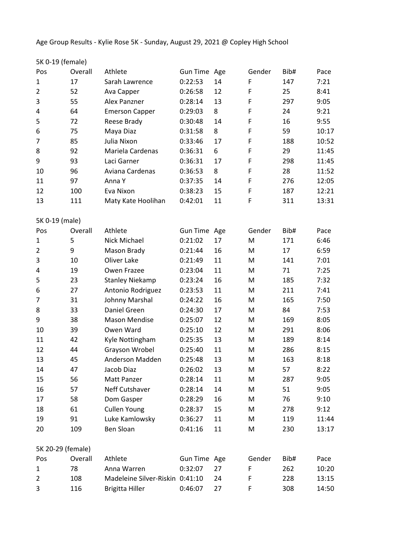Age Group Results - Kylie Rose 5K - Sunday, August 29, 2021 @ Copley High School

| 5K 0-19 (female)  |         |                                 |                 |     |        |      |       |
|-------------------|---------|---------------------------------|-----------------|-----|--------|------|-------|
| Pos               | Overall | Athlete                         | Gun Time Age    |     | Gender | Bib# | Pace  |
| $\mathbf{1}$      | 17      | Sarah Lawrence                  | 0:22:53         | 14  | F      | 147  | 7:21  |
| $\overline{2}$    | 52      | Ava Capper                      | 0:26:58         | 12  | F      | 25   | 8:41  |
| 3                 | 55      | Alex Panzner                    | 0:28:14         | 13  | F      | 297  | 9:05  |
| 4                 | 64      | <b>Emerson Capper</b>           | 0:29:03         | 8   | F      | 24   | 9:21  |
| 5                 | 72      | Reese Brady                     | 0:30:48         | 14  | F      | 16   | 9:55  |
| 6                 | 75      | Maya Diaz                       | 0:31:58         | 8   | F      | 59   | 10:17 |
| 7                 | 85      | Julia Nixon                     | 0:33:46         | 17  | F      | 188  | 10:52 |
| 8                 | 92      | Mariela Cardenas                | 0:36:31         | 6   | F      | 29   | 11:45 |
| 9                 | 93      | Laci Garner                     | 0:36:31         | 17  | F      | 298  | 11:45 |
| 10                | 96      | Aviana Cardenas                 | 0:36:53         | 8   | F      | 28   | 11:52 |
| 11                | 97      | Anna Y                          | 0:37:35         | 14  | F      | 276  | 12:05 |
| 12                | 100     | Eva Nixon                       | 0:38:23         | 15  | F      | 187  | 12:21 |
| 13                | 111     | Maty Kate Hoolihan              | 0:42:01         | 11  | F      | 311  | 13:31 |
| 5K 0-19 (male)    |         |                                 |                 |     |        |      |       |
| Pos               | Overall | Athlete                         | <b>Gun Time</b> | Age | Gender | Bib# | Pace  |
| 1                 | 5       | Nick Michael                    | 0:21:02         | 17  | M      | 171  | 6:46  |
| $\overline{2}$    | 9       | Mason Brady                     | 0:21:44         | 16  | M      | 17   | 6:59  |
| 3                 | 10      | Oliver Lake                     | 0:21:49         | 11  | M      | 141  | 7:01  |
| 4                 | 19      | Owen Frazee                     | 0:23:04         | 11  | M      | 71   | 7:25  |
| 5                 | 23      | <b>Stanley Niekamp</b>          | 0:23:24         | 16  | M      | 185  | 7:32  |
| 6                 | 27      | Antonio Rodriguez               | 0:23:53         | 11  | M      | 211  | 7:41  |
| 7                 | 31      | Johnny Marshal                  | 0:24:22         | 16  | M      | 165  | 7:50  |
| 8                 | 33      | Daniel Green                    | 0:24:30         | 17  | M      | 84   | 7:53  |
| 9                 | 38      | <b>Mason Mendise</b>            | 0:25:07         | 12  | M      | 169  | 8:05  |
| 10                | 39      | Owen Ward                       | 0:25:10         | 12  | M      | 291  | 8:06  |
| 11                | 42      | Kyle Nottingham                 | 0:25:35         | 13  | M      | 189  | 8:14  |
| 12                | 44      | Grayson Wrobel                  | 0:25:40         | 11  | M      | 286  | 8:15  |
| 13                | 45      | Anderson Madden                 | 0:25:48         | 13  | M      | 163  | 8:18  |
| 14                | 47      | Jacob Diaz                      | 0:26:02         | 13  | M      | 57   | 8:22  |
| 15                | 56      | Matt Panzer                     | 0:28:14         | 11  | M      | 287  | 9:05  |
| 16                | 57      | Neff Cutshaver                  | 0:28:14         | 14  | M      | 51   | 9:05  |
| 17                | 58      | Dom Gasper                      | 0:28:29         | 16  | M      | 76   | 9:10  |
| 18                | 61      | <b>Cullen Young</b>             | 0:28:37         | 15  | M      | 278  | 9:12  |
| 19                | 91      | Luke Kamlowsky                  | 0:36:27         | 11  | M      | 119  | 11:44 |
| 20                | 109     | <b>Ben Sloan</b>                | 0:41:16         | 11  | M      | 230  | 13:17 |
| 5K 20-29 (female) |         |                                 |                 |     |        |      |       |
| Pos               | Overall | Athlete                         | Gun Time Age    |     | Gender | Bib# | Pace  |
| 1                 | 78      | Anna Warren                     | 0:32:07         | 27  | F      | 262  | 10:20 |
| $\overline{2}$    | 108     | Madeleine Silver-Riskin 0:41:10 |                 | 24  | F      | 228  | 13:15 |
| 3                 | 116     | <b>Brigitta Hiller</b>          | 0:46:07         | 27  | F      | 308  | 14:50 |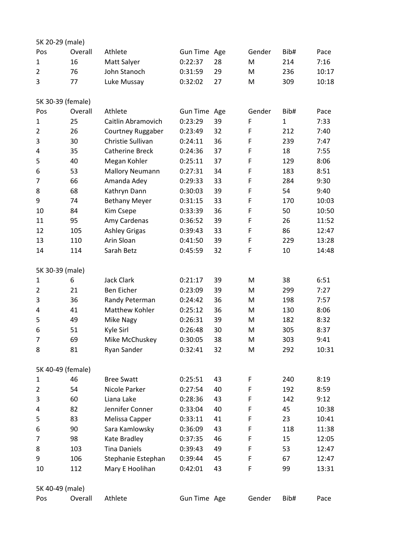| 5K 20-29 (male)   |         |                        |                 |     |        |              |       |  |  |
|-------------------|---------|------------------------|-----------------|-----|--------|--------------|-------|--|--|
| Pos               | Overall | Athlete                | Gun Time Age    |     | Gender | Bib#         | Pace  |  |  |
| $\mathbf{1}$      | 16      | Matt Salyer            | 0:22:37         | 28  | M      | 214          | 7:16  |  |  |
| $\overline{2}$    | 76      | John Stanoch           | 0:31:59         | 29  | M      | 236          | 10:17 |  |  |
| 3                 | 77      | Luke Mussay            | 0:32:02         | 27  | M      | 309          | 10:18 |  |  |
| 5K 30-39 (female) |         |                        |                 |     |        |              |       |  |  |
| Pos               | Overall | Athlete                | <b>Gun Time</b> | Age | Gender | Bib#         | Pace  |  |  |
| $\mathbf{1}$      | 25      | Caitlin Abramovich     | 0:23:29         | 39  | F      | $\mathbf{1}$ | 7:33  |  |  |
| $\overline{2}$    | 26      | Courtney Ruggaber      | 0:23:49         | 32  | F      | 212          | 7:40  |  |  |
| 3                 | 30      | Christie Sullivan      | 0:24:11         | 36  | F      | 239          | 7:47  |  |  |
| $\overline{4}$    | 35      | <b>Catherine Breck</b> | 0:24:36         | 37  | F      | 18           | 7:55  |  |  |
| 5                 | 40      | Megan Kohler           | 0:25:11         | 37  | F      | 129          | 8:06  |  |  |
| 6                 | 53      | <b>Mallory Neumann</b> | 0:27:31         | 34  | F      | 183          | 8:51  |  |  |
| 7                 | 66      | Amanda Adey            | 0:29:33         | 33  | F      | 284          | 9:30  |  |  |
| 8                 | 68      | Kathryn Dann           | 0:30:03         | 39  | F      | 54           | 9:40  |  |  |
| 9                 | 74      | <b>Bethany Meyer</b>   | 0:31:15         | 33  | F      | 170          | 10:03 |  |  |
| 10                | 84      | Kim Csepe              | 0:33:39         | 36  | F      | 50           | 10:50 |  |  |
| 11                | 95      | Amy Cardenas           | 0:36:52         | 39  | F      | 26           | 11:52 |  |  |
| 12                | 105     | <b>Ashley Grigas</b>   | 0:39:43         | 33  | F      | 86           | 12:47 |  |  |
| 13                | 110     | Arin Sloan             | 0:41:50         | 39  | F      | 229          | 13:28 |  |  |
| 14                | 114     | Sarah Betz             | 0:45:59         | 32  | F      | 10           | 14:48 |  |  |
| 5K 30-39 (male)   |         |                        |                 |     |        |              |       |  |  |
| 1                 | 6       | Jack Clark             | 0:21:17         | 39  | M      | 38           | 6:51  |  |  |
| $\overline{2}$    | 21      | <b>Ben Eicher</b>      | 0:23:09         | 39  | M      | 299          | 7:27  |  |  |
| 3                 | 36      | Randy Peterman         | 0:24:42         | 36  | M      | 198          | 7:57  |  |  |
| 4                 | 41      | Matthew Kohler         | 0:25:12         | 36  | M      | 130          | 8:06  |  |  |
| 5                 | 49      | Mike Nagy              | 0:26:31         | 39  | M      | 182          | 8:32  |  |  |
| 6                 | 51      | Kyle Sirl              | 0:26:48         | 30  | M      | 305          | 8:37  |  |  |
| 7                 | 69      | Mike McChuskey         | 0:30:05         | 38  | M      | 303          | 9:41  |  |  |
| 8                 | 81      | Ryan Sander            | 0:32:41         | 32  | M      | 292          | 10:31 |  |  |
| 5K 40-49 (female) |         |                        |                 |     |        |              |       |  |  |
| $\mathbf{1}$      | 46      | <b>Bree Swatt</b>      | 0:25:51         | 43  | F      | 240          | 8:19  |  |  |
| $\overline{2}$    | 54      | Nicole Parker          | 0:27:54         | 40  | F      | 192          | 8:59  |  |  |
| 3                 | 60      | Liana Lake             | 0:28:36         | 43  | F      | 142          | 9:12  |  |  |
| 4                 | 82      | Jennifer Conner        | 0:33:04         | 40  | F      | 45           | 10:38 |  |  |
| 5                 | 83      | Melissa Capper         | 0:33:11         | 41  | F      | 23           | 10:41 |  |  |
| 6                 | 90      | Sara Kamlowsky         | 0:36:09         | 43  | F      | 118          | 11:38 |  |  |
| 7                 | 98      | Kate Bradley           | 0:37:35         | 46  | F      | 15           | 12:05 |  |  |
| 8                 | 103     | <b>Tina Daniels</b>    | 0:39:43         | 49  | F      | 53           | 12:47 |  |  |
| 9                 | 106     | Stephanie Estephan     | 0:39:44         | 45  | F      | 67           | 12:47 |  |  |
| 10                | 112     | Mary E Hoolihan        | 0:42:01         | 43  | F      | 99           | 13:31 |  |  |
| 5K 40-49 (male)   |         |                        |                 |     |        |              |       |  |  |
| Pos               | Overall | Athlete                | Gun Time Age    |     | Gender | Bib#         | Pace  |  |  |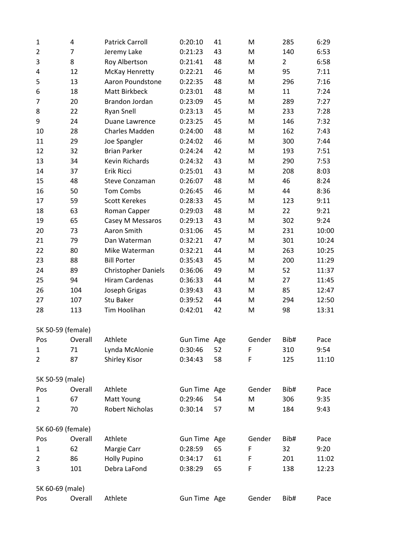| $\mathbf 1$       | 4              | <b>Patrick Carroll</b>     | 0:20:10      | 41 | M      | 285            | 6:29  |
|-------------------|----------------|----------------------------|--------------|----|--------|----------------|-------|
| $\overline{2}$    | $\overline{7}$ | Jeremy Lake                | 0:21:23      | 43 | M      | 140            | 6:53  |
| 3                 | 8              | Roy Albertson              | 0:21:41      | 48 | M      | $\overline{2}$ | 6:58  |
| 4                 | 12             | McKay Henretty             | 0:22:21      | 46 | M      | 95             | 7:11  |
| 5                 | 13             | Aaron Poundstone           | 0:22:35      | 48 | M      | 296            | 7:16  |
| 6                 | 18             | Matt Birkbeck              | 0:23:01      | 48 | M      | 11             | 7:24  |
| $\overline{7}$    | 20             | Brandon Jordan             | 0:23:09      | 45 | M      | 289            | 7:27  |
| 8                 | 22             | <b>Ryan Snell</b>          | 0:23:13      | 45 | M      | 233            | 7:28  |
| 9                 | 24             | Duane Lawrence             | 0:23:25      | 45 | M      | 146            | 7:32  |
| 10                | 28             | Charles Madden             | 0:24:00      | 48 | M      | 162            | 7:43  |
| 11                | 29             | Joe Spangler               | 0:24:02      | 46 | M      | 300            | 7:44  |
| 12                | 32             | <b>Brian Parker</b>        | 0:24:24      | 42 | M      | 193            | 7:51  |
| 13                | 34             | Kevin Richards             | 0:24:32      | 43 | M      | 290            | 7:53  |
| 14                | 37             | Erik Ricci                 | 0:25:01      | 43 | M      | 208            | 8:03  |
| 15                | 48             | <b>Steve Conzaman</b>      | 0:26:07      | 48 | M      | 46             | 8:24  |
| 16                | 50             | Tom Combs                  | 0:26:45      | 46 | M      | 44             | 8:36  |
| 17                | 59             | <b>Scott Kerekes</b>       | 0:28:33      | 45 | M      | 123            | 9:11  |
| 18                | 63             | Roman Capper               | 0:29:03      | 48 | M      | 22             | 9:21  |
| 19                | 65             | Casey M Messaros           | 0:29:13      | 43 | M      | 302            | 9:24  |
| 20                | 73             | Aaron Smith                | 0:31:06      | 45 | M      | 231            | 10:00 |
| 21                | 79             | Dan Waterman               | 0:32:21      | 47 | M      | 301            | 10:24 |
| 22                | 80             | Mike Waterman              | 0:32:21      | 44 | M      | 263            | 10:25 |
| 23                | 88             | <b>Bill Porter</b>         | 0:35:43      | 45 | M      | 200            | 11:29 |
| 24                | 89             | <b>Christopher Daniels</b> | 0:36:06      | 49 | M      | 52             | 11:37 |
| 25                | 94             | Hiram Cardenas             | 0:36:33      | 44 | M      | 27             | 11:45 |
| 26                | 104            | Joseph Grigas              | 0:39:43      | 43 | M      | 85             | 12:47 |
| 27                | 107            | Stu Baker                  | 0:39:52      | 44 | M      | 294            | 12:50 |
| 28                | 113            | Tim Hoolihan               | 0:42:01      | 42 | M      | 98             | 13:31 |
| 5K 50-59 (female) |                |                            |              |    |        |                |       |
| Pos               | Overall        | Athlete                    | Gun Time Age |    | Gender | Bib#           | Pace  |
| $\mathbf 1$       | 71             | Lynda McAlonie             | 0:30:46      | 52 | F      | 310            | 9:54  |
| $\overline{2}$    | 87             | Shirley Kisor              | 0:34:43      | 58 | F      | 125            | 11:10 |
| 5K 50-59 (male)   |                |                            |              |    |        |                |       |
| Pos               | Overall        | Athlete                    | Gun Time Age |    | Gender | Bib#           | Pace  |
| $\mathbf{1}$      | 67             | Matt Young                 | 0:29:46      | 54 | M      | 306            | 9:35  |
| $\overline{2}$    | 70             | Robert Nicholas            | 0:30:14      | 57 | M      | 184            | 9:43  |
| 5K 60-69 (female) |                |                            |              |    |        |                |       |
| Pos               | Overall        | Athlete                    | Gun Time Age |    | Gender | Bib#           | Pace  |
| $\mathbf{1}$      | 62             | Margie Carr                | 0:28:59      | 65 | F      | 32             | 9:20  |
| $\overline{2}$    | 86             | <b>Holly Pupino</b>        | 0:34:17      | 61 | F      | 201            | 11:02 |
| 3                 | 101            | Debra LaFond               | 0:38:29      | 65 | F      | 138            | 12:23 |
|                   |                |                            |              |    |        |                |       |
| 5K 60-69 (male)   |                |                            |              |    |        |                |       |
| Pos               | Overall        | Athlete                    | Gun Time Age |    | Gender | Bib#           | Pace  |
|                   |                |                            |              |    |        |                |       |